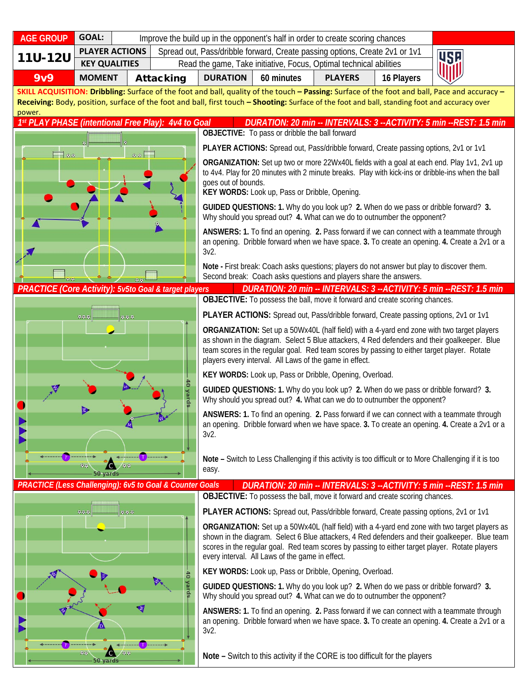